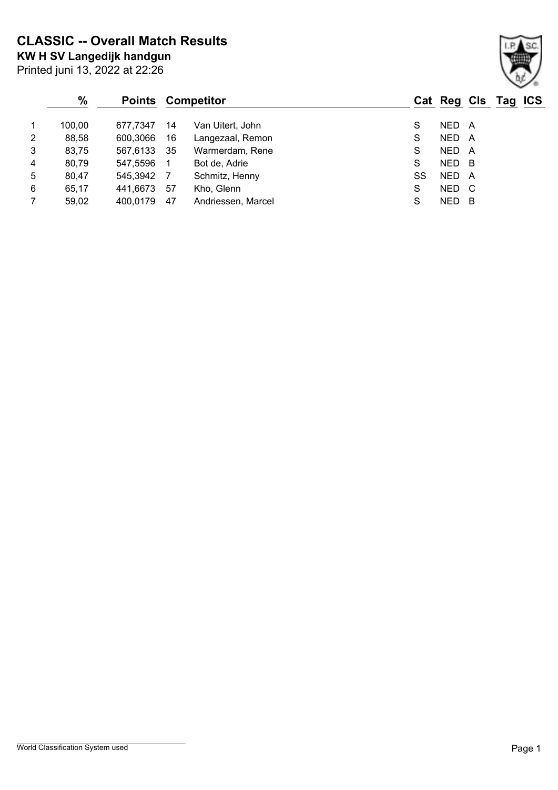**KW H SV Langedijk handgun CLASSIC -- Overall Match Results**

|                | $\frac{0}{0}$ |          |    | <b>Points Competitor</b> |    |            |   | Cat Reg Cls Tag ICS |  |
|----------------|---------------|----------|----|--------------------------|----|------------|---|---------------------|--|
| $\overline{1}$ | 100,00        | 677.7347 | 14 | Van Uitert, John         | S  | NED        | A |                     |  |
| $\overline{2}$ | 88,58         | 600,3066 | 16 | Langezaal, Remon         | S  | NED        | A |                     |  |
| 3              | 83,75         | 567,6133 | 35 | Warmerdam, Rene          | S  | NED A      |   |                     |  |
| 4              | 80,79         | 547,5596 | -1 | Bot de, Adrie            | S  | NED B      |   |                     |  |
| 5              | 80,47         | 545,3942 | -7 | Schmitz, Henny           | SS | NED        | A |                     |  |
| 6              | 65,17         | 441,6673 | 57 | Kho, Glenn               | S  | NED C      |   |                     |  |
| $\overline{7}$ | 59,02         | 400,0179 | 47 | Andriessen, Marcel       | S  | <b>NED</b> | в |                     |  |

Printed juni 13, 2022 at 22:26

### World Classification System used **Page 1**

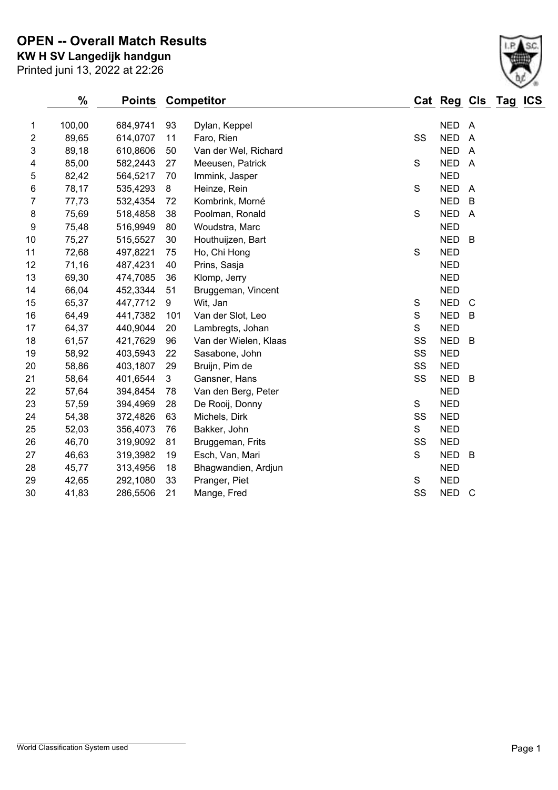Printed juni 13, 2022 at 22:26 **KW H SV Langedijk handgun OPEN -- Overall Match Results**

|                         | $\%$   | <b>Points</b> |                  | <b>Competitor</b>     |             | Cat Reg Cls Tag |                | <b>ICS</b> |
|-------------------------|--------|---------------|------------------|-----------------------|-------------|-----------------|----------------|------------|
| 1                       | 100,00 | 684,9741      | 93               | Dylan, Keppel         |             | <b>NED</b>      | - A            |            |
| $\overline{\mathbf{c}}$ | 89,65  | 614,0707      | 11               | Faro, Rien            | SS          | <b>NED</b>      | $\overline{A}$ |            |
| 3                       | 89,18  | 610,8606      | 50               | Van der Wel, Richard  |             | <b>NED</b>      | $\overline{A}$ |            |
| 4                       | 85,00  | 582,2443      | 27               | Meeusen, Patrick      | S           | <b>NED</b>      | $\overline{A}$ |            |
| 5                       | 82,42  | 564,5217      | 70               | Immink, Jasper        |             | <b>NED</b>      |                |            |
| $\,6$                   | 78,17  | 535,4293      | $\bf 8$          | Heinze, Rein          | $\mathbf S$ | <b>NED</b>      | $\overline{A}$ |            |
| $\overline{7}$          | 77,73  | 532,4354      | 72               | Kombrink, Morné       |             | <b>NED</b>      | B              |            |
| 8                       | 75,69  | 518,4858      | 38               | Poolman, Ronald       | S           | <b>NED</b>      | $\overline{A}$ |            |
| 9                       | 75,48  | 516,9949      | 80               | Woudstra, Marc        |             | <b>NED</b>      |                |            |
| 10                      | 75,27  | 515,5527      | 30               | Houthuijzen, Bart     |             | <b>NED</b>      | B              |            |
| 11                      | 72,68  | 497,8221      | 75               | Ho, Chi Hong          | S           | <b>NED</b>      |                |            |
| 12                      | 71,16  | 487,4231      | 40               | Prins, Sasja          |             | <b>NED</b>      |                |            |
| 13                      | 69,30  | 474,7085      | 36               | Klomp, Jerry          |             | <b>NED</b>      |                |            |
| 14                      | 66,04  | 452,3344      | 51               | Bruggeman, Vincent    |             | <b>NED</b>      |                |            |
| 15                      | 65,37  | 447,7712      | $\boldsymbol{9}$ | Wit, Jan              | $\mathbb S$ | <b>NED</b>      | $\mathsf{C}$   |            |
| 16                      | 64,49  | 441,7382      | 101              | Van der Slot, Leo     | S           | <b>NED</b>      | B              |            |
| 17                      | 64,37  | 440,9044      | 20               | Lambregts, Johan      | S           | <b>NED</b>      |                |            |
| 18                      | 61,57  | 421,7629      | 96               | Van der Wielen, Klaas | SS          | <b>NED</b>      | $\overline{B}$ |            |
| 19                      | 58,92  | 403,5943      | 22               | Sasabone, John        | SS          | <b>NED</b>      |                |            |
| 20                      | 58,86  | 403,1807      | 29               | Bruijn, Pim de        | SS          | <b>NED</b>      |                |            |
| 21                      | 58,64  | 401,6544      | 3                | Gansner, Hans         | SS          | <b>NED</b>      | $\overline{B}$ |            |
| 22                      | 57,64  | 394,8454      | 78               | Van den Berg, Peter   |             | <b>NED</b>      |                |            |
| 23                      | 57,59  | 394,4969      | 28               | De Rooij, Donny       | S           | <b>NED</b>      |                |            |
| 24                      | 54,38  | 372,4826      | 63               | Michels, Dirk         | SS          | <b>NED</b>      |                |            |
| 25                      | 52,03  | 356,4073      | 76               | Bakker, John          | S           | <b>NED</b>      |                |            |
| 26                      | 46,70  | 319,9092      | 81               | Bruggeman, Frits      | SS          | <b>NED</b>      |                |            |
| 27                      | 46,63  | 319,3982      | 19               | Esch, Van, Mari       | S           | <b>NED</b>      | B              |            |
| 28                      | 45,77  | 313,4956      | 18               | Bhagwandien, Ardjun   |             | <b>NED</b>      |                |            |
| 29                      | 42,65  | 292,1080      | 33               | Pranger, Piet         | S           | <b>NED</b>      |                |            |
| 30                      | 41,83  | 286,5506      | 21               | Mange, Fred           | SS          | <b>NED</b>      | $\mathsf{C}$   |            |

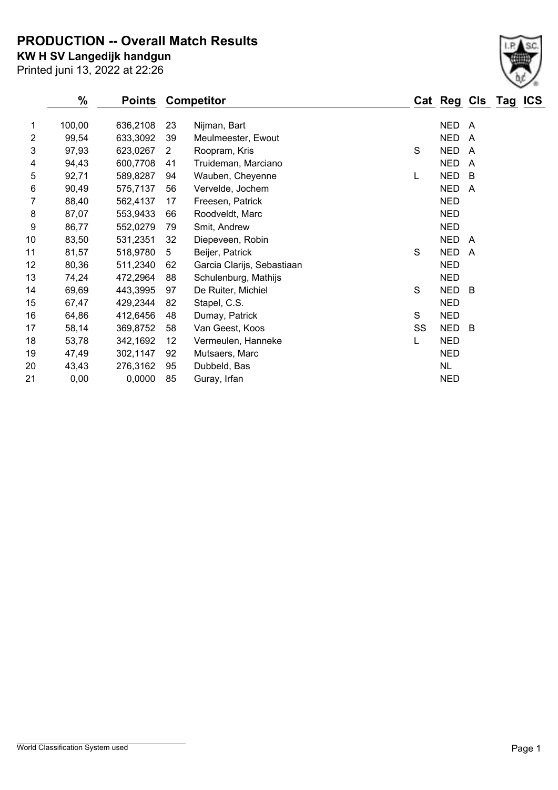**PRODUCTION -- Overall Match Results**

Printed juni 13, 2022 at 22:26 **KW H SV Langedijk handgun**

| ℅      | <b>Points</b> |    |                            |                   |            |                |   | <b>ICS</b>      |
|--------|---------------|----|----------------------------|-------------------|------------|----------------|---|-----------------|
| 100,00 | 636,2108      | 23 | Nijman, Bart               |                   | <b>NED</b> | $\overline{A}$ |   |                 |
| 99,54  | 633,3092      | 39 | Meulmeester, Ewout         |                   | <b>NED</b> | $\overline{A}$ |   |                 |
| 97,93  | 623,0267      | 2  | Roopram, Kris              | S                 | <b>NED</b> | $\overline{A}$ |   |                 |
| 94,43  | 600,7708      | 41 | Truideman, Marciano        |                   | <b>NED</b> | $\overline{A}$ |   |                 |
| 92,71  | 589,8287      | 94 | Wauben, Cheyenne           | L                 | <b>NED</b> | B              |   |                 |
| 90,49  | 575,7137      | 56 | Vervelde, Jochem           |                   | <b>NED</b> | A              |   |                 |
| 88,40  | 562,4137      | 17 | Freesen, Patrick           |                   | <b>NED</b> |                |   |                 |
| 87,07  | 553,9433      | 66 | Roodveldt, Marc            |                   | <b>NED</b> |                |   |                 |
| 86,77  | 552,0279      | 79 | Smit, Andrew               |                   | <b>NED</b> |                |   |                 |
| 83,50  | 531,2351      | 32 | Diepeveen, Robin           |                   | <b>NED</b> | A              |   |                 |
| 81,57  | 518,9780      | 5  | Beijer, Patrick            | S                 | <b>NED</b> |                |   |                 |
| 80,36  | 511,2340      | 62 | Garcia Clarijs, Sebastiaan |                   | <b>NED</b> |                |   |                 |
| 74,24  | 472,2964      | 88 | Schulenburg, Mathijs       |                   | <b>NED</b> |                |   |                 |
| 69,69  | 443,3995      | 97 | De Ruiter, Michiel         | S                 | <b>NED</b> | B              |   |                 |
| 67,47  | 429,2344      | 82 | Stapel, C.S.               |                   | <b>NED</b> |                |   |                 |
| 64,86  | 412,6456      | 48 | Dumay, Patrick             | S                 | <b>NED</b> |                |   |                 |
| 58,14  | 369,8752      | 58 | Van Geest, Koos            | SS                | <b>NED</b> | B              |   |                 |
| 53,78  | 342,1692      | 12 | Vermeulen, Hanneke         | L                 | <b>NED</b> |                |   |                 |
| 47,49  | 302,1147      | 92 | Mutsaers, Marc             |                   | <b>NED</b> |                |   |                 |
| 43,43  | 276,3162      | 95 | Dubbeld, Bas               |                   | <b>NL</b>  |                |   |                 |
| 0,00   | 0,0000        | 85 | Guray, Irfan               |                   | <b>NED</b> |                |   |                 |
|        |               |    |                            | <b>Competitor</b> |            |                | A | Cat Reg Cls Tag |

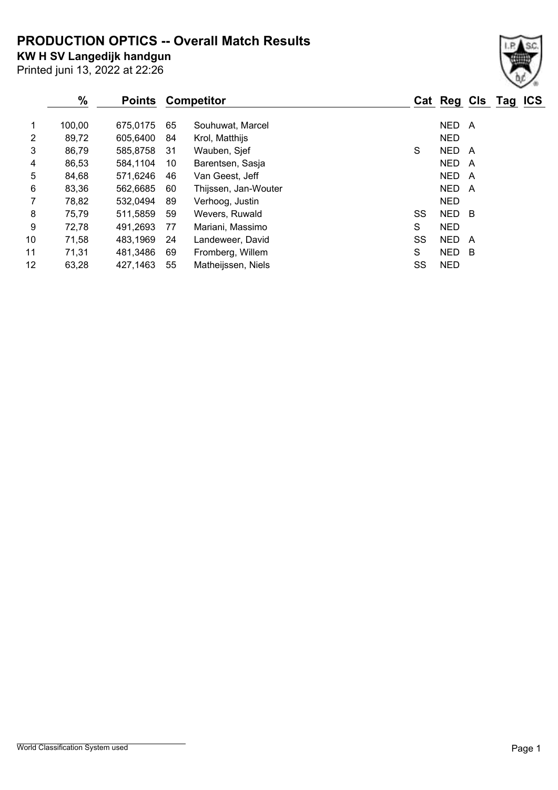# **PRODUCTION OPTICS -- Overall Match Results**

**KW H SV Langedijk handgun**

Printed juni 13, 2022 at 22:26

## **% Points Competitor Cat Reg Cls Tag ICS** 1 100,00 675,0175 65 Souhuwat, Marcel 1 100,00 NED A 2 89,72 605,6400 84 Krol, Matthijs 1988 1999 1999 NED 3 86,79 585,8758 31 Wauben, Sjef Show States States States A 4 86,53 584,1104 10 Barentsen, Sasja NED A 5 84,68 571,6246 46 Van Geest, Jeff NED A 6 83,36 562,6685 60 Thijssen, Jan-Wouter NED A 7 78,82 532,0494 89 Verhoog, Justin NED 8 75,79 511,5859 59 Wevers, Ruwald SS NED B 9 72,78 491,2693 77 Mariani, Massimo S NED 10 71,58 483,1969 24 Landeweer, David SS NED A

11 71,31 481,3486 69 Fromberg, Willem S NED B 12 63,28 427,1463 55 Matheijssen, Niels SS NED

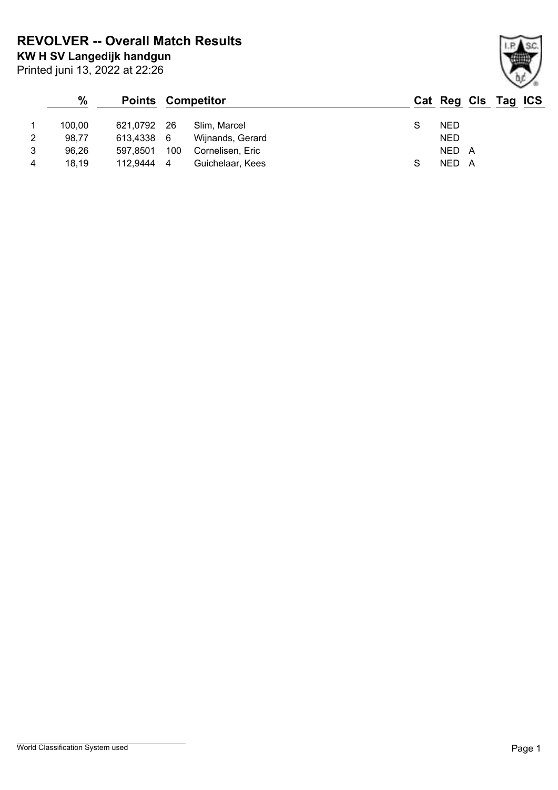**KW H SV Langedijk handgun REVOLVER -- Overall Match Results**

Printed juni 13, 2022 at 22:26

## **% Points Competitor Cat Reg Cls Tag ICS** 1 100,00 621,0792 26 Slim, Marcel S NED 2 98,77 613,4338 6 Wijnands, Gerard NED 3 96,26 597,8501 100 Cornelisen, Eric NED A 4 18,19 112,9444 4 Guichelaar, Kees S NED A

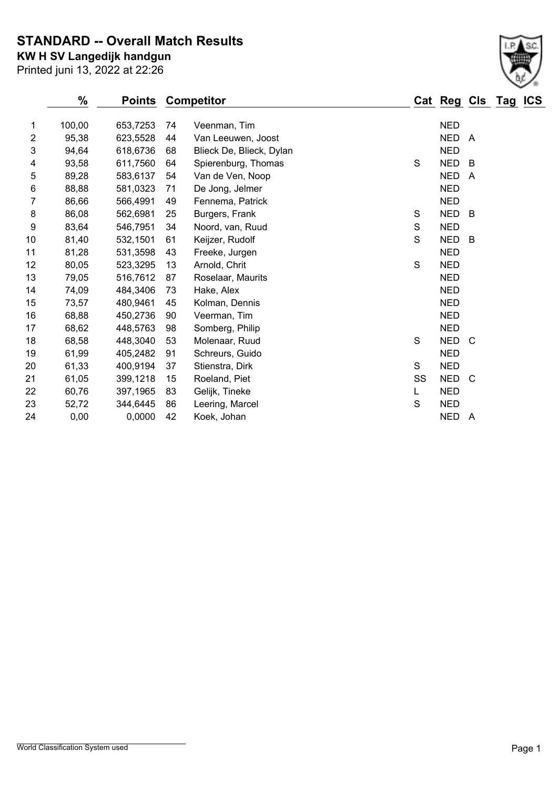**STANDARD -- Overall Match Results**

Printed juni 13, 2022 at 22:26 **KW H SV Langedijk handgun**

|                | $\frac{0}{0}$ | <b>Points</b> |    | <b>Competitor</b>        |    | Cat Reg Cls Tag ICS |              |  |
|----------------|---------------|---------------|----|--------------------------|----|---------------------|--------------|--|
| 1              | 100,00        | 653,7253      | 74 | Veenman, Tim             |    | <b>NED</b>          |              |  |
| $\overline{2}$ | 95,38         | 623,5528      | 44 | Van Leeuwen, Joost       |    | <b>NED</b>          | A            |  |
| 3              | 94,64         | 618,6736      | 68 | Blieck De, Blieck, Dylan |    | <b>NED</b>          |              |  |
| 4              | 93,58         | 611,7560      | 64 | Spierenburg, Thomas      | S  | <b>NED</b>          | B            |  |
| 5              | 89,28         | 583,6137      | 54 | Van de Ven, Noop         |    | <b>NED</b>          | A            |  |
| 6              | 88,88         | 581,0323      | 71 | De Jong, Jelmer          |    | <b>NED</b>          |              |  |
| 7              | 86,66         | 566,4991      | 49 | Fennema, Patrick         |    | <b>NED</b>          |              |  |
| 8              | 86,08         | 562,6981      | 25 | Burgers, Frank           | S  | <b>NED</b>          | B            |  |
| 9              | 83,64         | 546,7951      | 34 | Noord, van, Ruud         | S  | <b>NED</b>          |              |  |
| 10             | 81,40         | 532,1501      | 61 | Keijzer, Rudolf          | S  | <b>NED</b>          | - B          |  |
| 11             | 81,28         | 531,3598      | 43 | Freeke, Jurgen           |    | <b>NED</b>          |              |  |
| 12             | 80,05         | 523,3295      | 13 | Arnold, Chrit            | S  | <b>NED</b>          |              |  |
| 13             | 79,05         | 516,7612      | 87 | Roselaar, Maurits        |    | <b>NED</b>          |              |  |
| 14             | 74,09         | 484,3406      | 73 | Hake, Alex               |    | <b>NED</b>          |              |  |
| 15             | 73,57         | 480,9461      | 45 | Kolman, Dennis           |    | <b>NED</b>          |              |  |
| 16             | 68,88         | 450,2736      | 90 | Veerman, Tim             |    | <b>NED</b>          |              |  |
| 17             | 68,62         | 448,5763      | 98 | Somberg, Philip          |    | <b>NED</b>          |              |  |
| 18             | 68,58         | 448,3040      | 53 | Molenaar, Ruud           | S  | <b>NED</b>          | - C          |  |
| 19             | 61,99         | 405,2482      | 91 | Schreurs, Guido          |    | <b>NED</b>          |              |  |
| 20             | 61,33         | 400,9194      | 37 | Stienstra, Dirk          | S  | <b>NED</b>          |              |  |
| 21             | 61,05         | 399,1218      | 15 | Roeland, Piet            | SS | <b>NED</b>          | <sub>C</sub> |  |
| 22             | 60,76         | 397,1965      | 83 | Gelijk, Tineke           | L  | <b>NED</b>          |              |  |
| 23             | 52,72         | 344,6445      | 86 | Leering, Marcel          | S  | <b>NED</b>          |              |  |
| 24             | 0,00          | 0,0000        | 42 | Koek, Johan              |    | NED A               |              |  |
|                |               |               |    |                          |    |                     |              |  |